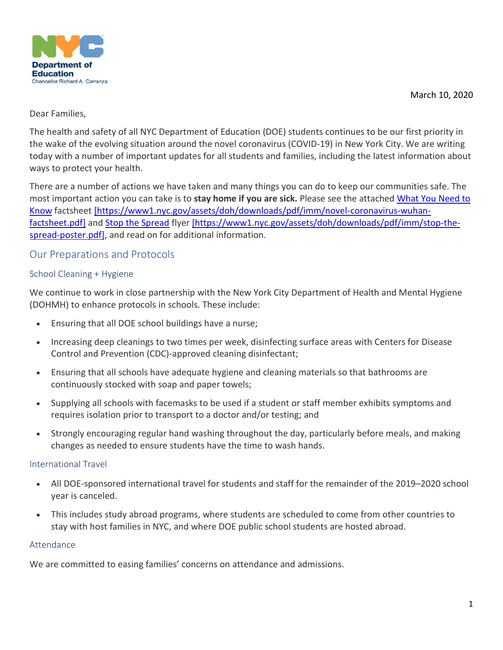March 10, 2020



### Dear Families,

The health and safety of all NYC Department of Education (DOE) students continues to be our first priority in the wake of the evolving situation around the novel coronavirus (COVID-19) in New York City. We are writing today with a number of important updates for all students and families, including the latest information about ways to protect your health.

There are a number of actions we have taken and many things you can do to keep our communities safe. The most important action you can take is to **stay home if you are sick.** Please see the attached [What You Need to](https://www1.nyc.gov/assets/doh/downloads/pdf/imm/novel-coronavirus-wuhan-factsheet.pdf)  [Know](https://www1.nyc.gov/assets/doh/downloads/pdf/imm/novel-coronavirus-wuhan-factsheet.pdf) factsheet [\[https://www1.nyc.gov/assets/doh/downloads/pdf/imm/novel-coronavirus-wuhan](https://www1.nyc.gov/assets/doh/downloads/pdf/imm/novel-coronavirus-wuhan-factsheet.pdf)[factsheet.pdf\]](https://www1.nyc.gov/assets/doh/downloads/pdf/imm/novel-coronavirus-wuhan-factsheet.pdf) and Stop the [Spread](https://www1.nyc.gov/assets/doh/downloads/pdf/imm/stop-the-spread-poster.pdf) flyer [https://www1.nyc.gov/assets/doh/downloads/pdf/imm/stop-thespread-poster.pdf], and read on for additional information.

# Our Preparations and Protocols

# School Cleaning + Hygiene

We continue to work in close partnership with the New York City Department of Health and Mental Hygiene (DOHMH) to enhance protocols in schools. These include:

- Ensuring that all DOE school buildings have a nurse;
- Increasing deep cleanings to two times per week, disinfecting surface areas with Centers for Disease Control and Prevention (CDC)-approved cleaning disinfectant;
- Ensuring that all schools have adequate hygiene and cleaning materials so that bathrooms are continuously stocked with soap and paper towels;
- Supplying all schools with facemasks to be used if a student or staff member exhibits symptoms and requires isolation prior to transport to a doctor and/or testing; and
- Strongly encouraging regular hand washing throughout the day, particularly before meals, and making changes as needed to ensure students have the time to wash hands.

### International Travel

- All DOE-sponsored international travel for students and staff for the remainder of the 2019–2020 school year is canceled.
- This includes study abroad programs, where students are scheduled to come from other countries to stay with host families in NYC, and where DOE public school students are hosted abroad.

### Attendance

We are committed to easing families' concerns on attendance and admissions.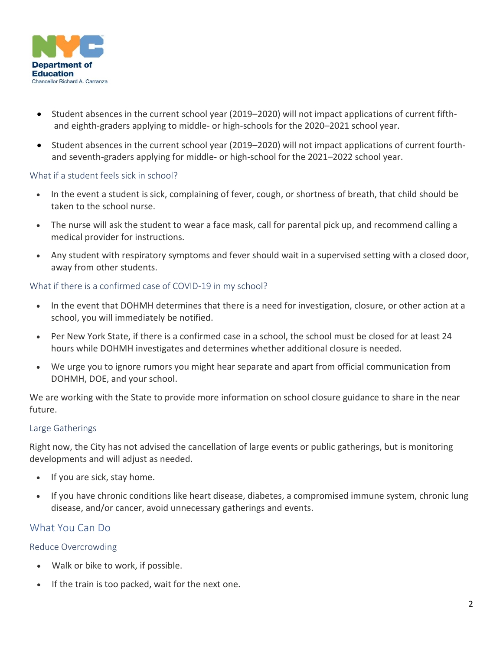

- Student absences in the current school year (2019–2020) will not impact applications of current fifth  and eighth-graders applying to middle- or high-schools for the 2020–2021 school year.
- Student absences in the current school year (2019–2020) will not impact applications of current fourthand seventh-graders applying for middle- or high-school for the 2021–2022 school year.

# What if a student feels sick in school?

- In the event a student is sick, complaining of fever, cough, or shortness of breath, that child should be taken to the school nurse.
- The nurse will ask the student to wear a face mask, call for parental pick up, and recommend calling a medical provider for instructions.
- Any student with respiratory symptoms and fever should wait in a supervised setting with a closed door, away from other students.

# What if there is a confirmed case of COVID-19 in my school?

- In the event that DOHMH determines that there is a need for investigation, closure, or other action at a school, you will immediately be notified.
- Per New York State, if there is a confirmed case in a school, the school must be closed for at least 24 hours while DOHMH investigates and determines whether additional closure is needed.
- We urge you to ignore rumors you might hear separate and apart from official communication from DOHMH, DOE, and your school.

We are working with the State to provide more information on school closure guidance to share in the near future.

### Large Gatherings

Right now, the City has not advised the cancellation of large events or public gatherings, but is monitoring developments and will adjust as needed.

- If you are sick, stay home.
- If you have chronic conditions like heart disease, diabetes, a compromised immune system, chronic lung disease, and/or cancer, avoid unnecessary gatherings and events.

# What You Can Do

### Reduce Overcrowding

- Walk or bike to work, if possible.
- If the train is too packed, wait for the next one.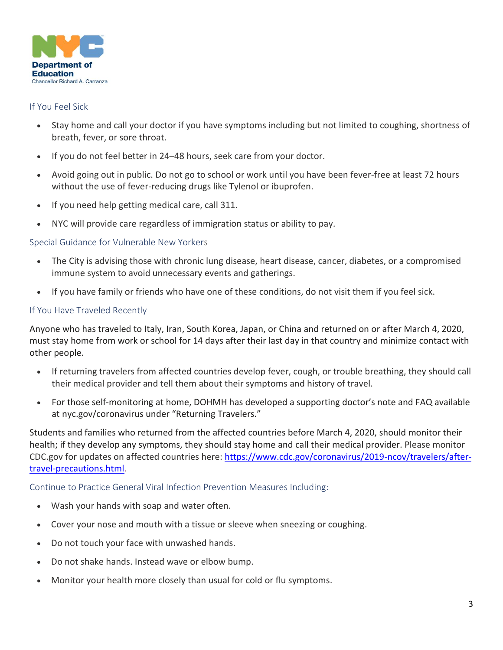

### If You Feel Sick

- Stay home and call your doctor if you have symptoms including but not limited to coughing, shortness of breath, fever, or sore throat.
- If you do not feel better in 24–48 hours, seek care from your doctor.
- Avoid going out in public. Do not go to school or work until you have been fever-free at least 72 hours without the use of fever-reducing drugs like Tylenol or ibuprofen.
- If you need help getting medical care, call 311.
- NYC will provide care regardless of immigration status or ability to pay.

# Special Guidance for Vulnerable New Yorkers

- The City is advising those with chronic lung disease, heart disease, cancer, diabetes, or a compromised immune system to avoid unnecessary events and gatherings.
- If you have family or friends who have one of these conditions, do not visit them if you feel sick.

# If You Have Traveled Recently

Anyone who has traveled to Italy, Iran, South Korea, Japan, or China and returned on or after March 4, 2020, must stay home from work or school for 14 days after their last day in that country and minimize contact with other people.

- If returning travelers from affected countries develop fever, cough, or trouble breathing, they should call their medical provider and tell them about their symptoms and history of travel.
- For those self-monitoring at home, DOHMH has developed a supporting doctor's note and FAQ available at nyc.gov/coronavirus under "Returning Travelers."

Students and families who returned from the affected countries before March 4, 2020, should monitor their health; if they develop any symptoms, they should stay home and call their medical provider. Please monitor CDC.gov for updates on affected countries here: [https://www.cdc.gov/coronavirus/2019-ncov/travelers/after](https://nam01.safelinks.protection.outlook.com/?url=https%3A%2F%2Fwww.cdc.gov%2Fcoronavirus%2F2019-ncov%2Ftravelers%2Fafter-travel-precautions.html&data=02%7C01%7CKBlumm%40schools.nyc.gov%7C3b0f05d7d70b45a1421b08d7c11b31ef%7C18492cb7ef45456185710c42e5f7ac07%7C0%7C0%7C637190194850437893&sdata=UMN8geWKO7Fm91sVqH2duYNImrbOZchYzaKFe6hMmyc%3D&reserved=0)[travel-precautions.html.](https://nam01.safelinks.protection.outlook.com/?url=https%3A%2F%2Fwww.cdc.gov%2Fcoronavirus%2F2019-ncov%2Ftravelers%2Fafter-travel-precautions.html&data=02%7C01%7CKBlumm%40schools.nyc.gov%7C3b0f05d7d70b45a1421b08d7c11b31ef%7C18492cb7ef45456185710c42e5f7ac07%7C0%7C0%7C637190194850437893&sdata=UMN8geWKO7Fm91sVqH2duYNImrbOZchYzaKFe6hMmyc%3D&reserved=0)

### Continue to Practice General Viral Infection Prevention Measures Including:

- Wash your hands with soap and water often.
- Cover your nose and mouth with a tissue or sleeve when sneezing or coughing.
- Do not touch your face with unwashed hands.
- Do not shake hands. Instead wave or elbow bump.
- Monitor your health more closely than usual for cold or flu symptoms.